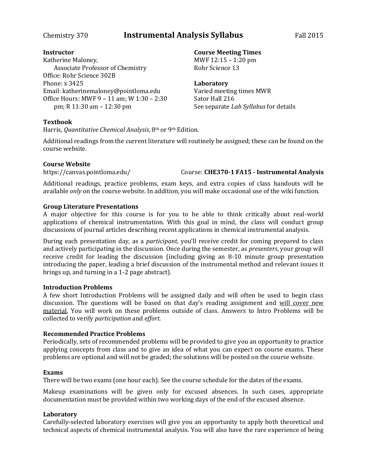## Chemistry 370 **Instrumental Analysis Syllabus** Fall 2015

#### **Instructor**

Katherine Maloney, Associate Professor of Chemistry Office: Rohr Science 302B Phone: x 3425 Email: katherinemaloney@pointloma.edu Office Hours: MWF 9 – 11 am; W 1:30 – 2:30 pm; R 11:30 am – 12:30 pm

## MWF 12:15 – 1:20 pm

Rohr Science 13

**Course Meeting Times**

### **Laboratory**

Varied meeting times MWR Sator Hall 216 See separate *Lab Syllabus* for details

### **Textbook**

Harris, *Quantitative Chemical Analysis*, 8th or 9th Edition.

Additional readings from the current literature will routinely be assigned; these can be found on the course website.

### **Course Website**

https://canvas.pointloma.edu/ Course: **CHE370-1 FA15 - Instrumental Analysis**

Additional readings, practice problems, exam keys, and extra copies of class handouts will be available *only* on the course website. In addition, you will make occasional use of the wiki function.

### **Group Literature Presentations**

A major objective for this course is for you to be able to think critically about real-world applications of chemical instrumentation. With this goal in mind, the class will conduct group discussions of journal articles describing recent applications in chemical instrumental analysis.

During each presentation day, as a *participant*, you'll receive credit for coming prepared to class and actively participating in the discussion. Once during the semester, as *presenters*, your group will receive credit for leading the discussion (including giving an 8-10 minute group presentation introducing the paper, leading a brief discussion of the instrumental method and relevant issues it brings up, and turning in a 1-2 page abstract).

### **Introduction Problems**

A few short Introduction Problems will be assigned daily and will often be used to begin class discussion. The questions will be based on that day's reading assignment and will cover new material. You will work on these problems outside of class. Answers to Intro Problems will be collected to verify *participation* and *effort*.

### **Recommended Practice Problems**

Periodically, sets of recommended problems will be provided to give you an opportunity to practice applying concepts from class and to give an idea of what you can expect on course exams. These problems are optional and will not be graded; the solutions will be posted on the course website.

### **Exams**

There will be two exams (one hour each). See the course schedule for the dates of the exams.

Makeup examinations will be given only for excused absences. In such cases, appropriate documentation must be provided within two working days of the end of the excused absence.

### **Laboratory**

Carefully-selected laboratory exercises will give you an opportunity to apply both theoretical and technical aspects of chemical instrumental analysis. You will also have the rare experience of being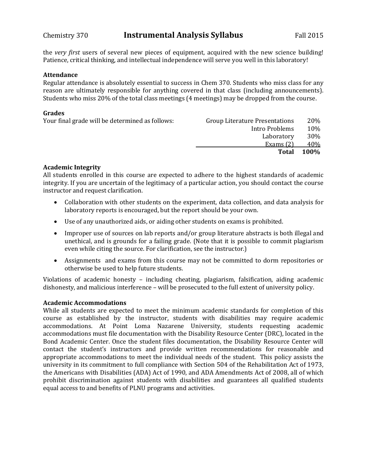the *very first* users of several new pieces of equipment, acquired with the new science building! Patience, critical thinking, and intellectual independence will serve you well in this laboratory!

#### **Attendance**

Regular attendance is absolutely essential to success in Chem 370. Students who miss class for any reason are ultimately responsible for anything covered in that class (including announcements). Students who miss 20% of the total class meetings (4 meetings) may be dropped from the course.

#### **Grades**

| Group Literature Presentations | 20%         |
|--------------------------------|-------------|
| Intro Problems                 | 10%         |
| Laboratory                     | 30%         |
| Exams $(2)$                    | 40%         |
| Total                          | <b>100%</b> |
|                                |             |

### **Academic Integrity**

All students enrolled in this course are expected to adhere to the highest standards of academic integrity. If you are uncertain of the legitimacy of a particular action, you should contact the course instructor and request clarification.

- Collaboration with other students on the experiment, data collection, and data analysis for laboratory reports is encouraged, but the report should be your own.
- Use of any unauthorized aids, or aiding other students on exams is prohibited.
- Improper use of sources on lab reports and/or group literature abstracts is both illegal and unethical, and is grounds for a failing grade. (Note that it is possible to commit plagiarism even while citing the source. For clarification, see the instructor.)
- Assignments and exams from this course may not be committed to dorm repositories or otherwise be used to help future students.

Violations of academic honesty – including cheating, plagiarism, falsification, aiding academic dishonesty, and malicious interference – will be prosecuted to the full extent of university policy.

### **Academic Accommodations**

While all students are expected to meet the minimum academic standards for completion of this course as established by the instructor, students with disabilities may require academic accommodations. At Point Loma Nazarene University, students requesting academic accommodations must file documentation with the Disability Resource Center (DRC), located in the Bond Academic Center. Once the student files documentation, the Disability Resource Center will contact the student's instructors and provide written recommendations for reasonable and appropriate accommodations to meet the individual needs of the student. This policy assists the university in its commitment to full compliance with Section 504 of the Rehabilitation Act of 1973, the Americans with Disabilities (ADA) Act of 1990, and ADA Amendments Act of 2008, all of which prohibit discrimination against students with disabilities and guarantees all qualified students equal access to and benefits of PLNU programs and activities.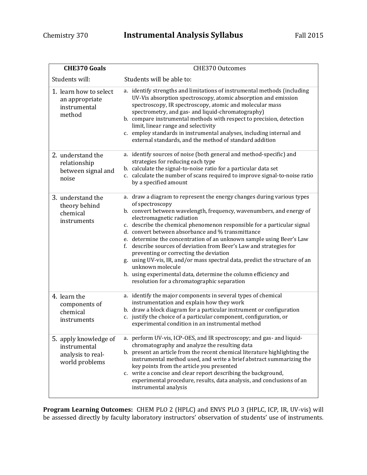| <b>CHE370 Goals</b>                                                          | <b>CHE370 Outcomes</b>                                                                                                                                                                                                                                                                                                                                                                                                                                                                                                                                                                                                                                                                                                                       |
|------------------------------------------------------------------------------|----------------------------------------------------------------------------------------------------------------------------------------------------------------------------------------------------------------------------------------------------------------------------------------------------------------------------------------------------------------------------------------------------------------------------------------------------------------------------------------------------------------------------------------------------------------------------------------------------------------------------------------------------------------------------------------------------------------------------------------------|
| Students will:                                                               | Students will be able to:                                                                                                                                                                                                                                                                                                                                                                                                                                                                                                                                                                                                                                                                                                                    |
| 1. learn how to select<br>an appropriate<br>instrumental<br>method           | a. identify strengths and limitations of instrumental methods (including<br>UV-Vis absorption spectroscopy, atomic absorption and emission<br>spectroscopy, IR spectroscopy, atomic and molecular mass<br>spectrometry, and gas- and liquid-chromatography)<br>b. compare instrumental methods with respect to precision, detection<br>limit, linear range and selectivity<br>c. employ standards in instrumental analyses, including internal and<br>external standards, and the method of standard addition                                                                                                                                                                                                                                |
| 2. understand the<br>relationship<br>between signal and<br>noise             | a. identify sources of noise (both general and method-specific) and<br>strategies for reducing each type<br>b. calculate the signal-to-noise ratio for a particular data set<br>c. calculate the number of scans required to improve signal-to-noise ratio<br>by a specified amount                                                                                                                                                                                                                                                                                                                                                                                                                                                          |
| 3. understand the<br>theory behind<br>chemical<br>instruments                | a. draw a diagram to represent the energy changes during various types<br>of spectroscopy<br>b. convert between wavelength, frequency, wavenumbers, and energy of<br>electromagnetic radiation<br>c. describe the chemical phenomenon responsible for a particular signal<br>d. convert between absorbance and % transmittance<br>e. determine the concentration of an unknown sample using Beer's Law<br>f. describe sources of deviation from Beer's Law and strategies for<br>preventing or correcting the deviation<br>g. using UV-vis, IR, and/or mass spectral data, predict the structure of an<br>unknown molecule<br>h. using experimental data, determine the column efficiency and<br>resolution for a chromatographic separation |
| 4. learn the<br>components of<br>chemical<br>instruments                     | a. identify the major components in several types of chemical<br>instrumentation and explain how they work<br>b. draw a block diagram for a particular instrument or configuration<br>c. justify the choice of a particular component, configuration, or<br>experimental condition in an instrumental method                                                                                                                                                                                                                                                                                                                                                                                                                                 |
| 5. apply knowledge of<br>instrumental<br>analysis to real-<br>world problems | a. perform UV-vis, ICP-OES, and IR spectroscopy; and gas- and liquid-<br>chromatography and analyze the resulting data<br>b. present an article from the recent chemical literature highlighting the<br>instrumental method used, and write a brief abstract summarizing the<br>key points from the article you presented<br>c. write a concise and clear report describing the background,<br>experimental procedure, results, data analysis, and conclusions of an<br>instrumental analysis                                                                                                                                                                                                                                                |

**Program Learning Outcomes:** CHEM PLO 2 (HPLC) and ENVS PLO 3 (HPLC, ICP, IR, UV-vis) will be assessed directly by faculty laboratory instructors' observation of students' use of instruments.